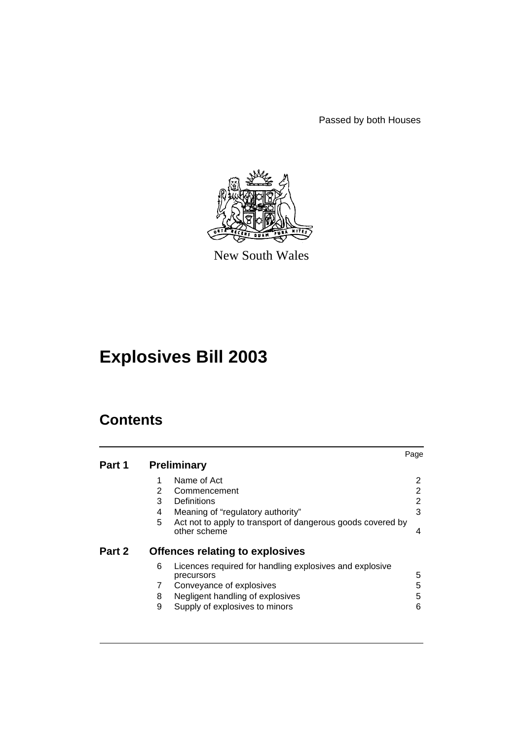Passed by both Houses



New South Wales

# **Explosives Bill 2003**

## **Contents**

|        |   |                                                                             | Page |
|--------|---|-----------------------------------------------------------------------------|------|
| Part 1 |   | <b>Preliminary</b>                                                          |      |
|        |   | Name of Act                                                                 | 2    |
|        | 2 | Commencement                                                                | 2    |
|        | 3 | Definitions                                                                 | 2    |
|        | 4 | Meaning of "regulatory authority"                                           | 3    |
|        | 5 | Act not to apply to transport of dangerous goods covered by<br>other scheme | 4    |
| Part 2 |   | <b>Offences relating to explosives</b>                                      |      |
|        | 6 | Licences required for handling explosives and explosive<br>precursors       | 5    |
|        |   | Conveyance of explosives                                                    | 5    |
|        | 8 | Negligent handling of explosives                                            | 5    |
|        | 9 | Supply of explosives to minors                                              | 6    |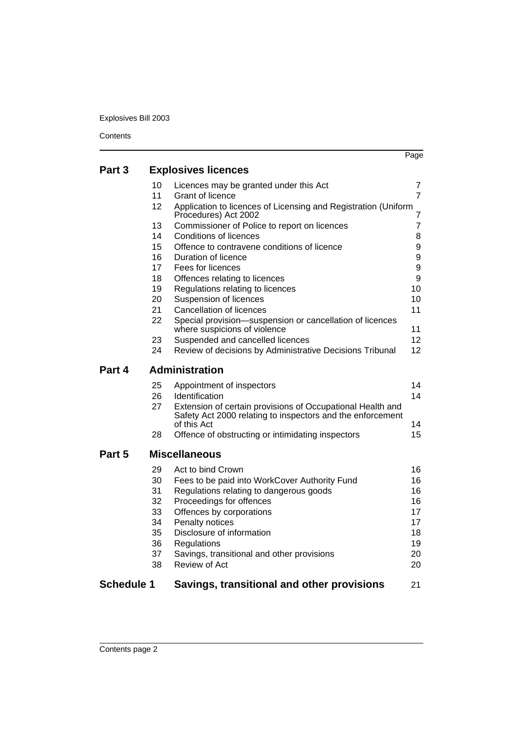Explosives Bill 2003

|                   |    |                                                                                          | Page            |
|-------------------|----|------------------------------------------------------------------------------------------|-----------------|
| Part 3            |    | <b>Explosives licences</b>                                                               |                 |
|                   | 10 | Licences may be granted under this Act                                                   | 7               |
|                   | 11 | Grant of licence                                                                         | $\overline{7}$  |
|                   | 12 | Application to licences of Licensing and Registration (Uniform<br>Procedures) Act 2002   | 7               |
|                   | 13 | Commissioner of Police to report on licences                                             | $\overline{7}$  |
|                   | 14 | <b>Conditions of licences</b>                                                            | 8               |
|                   | 15 | Offence to contravene conditions of licence                                              | 9               |
|                   | 16 | Duration of licence                                                                      | 9               |
|                   | 17 | Fees for licences                                                                        | 9               |
|                   | 18 | Offences relating to licences                                                            | 9               |
|                   | 19 | Regulations relating to licences                                                         | 10              |
|                   | 20 | Suspension of licences                                                                   | 10              |
|                   | 21 | <b>Cancellation of licences</b>                                                          | 11              |
|                   | 22 | Special provision-suspension or cancellation of licences<br>where suspicions of violence | 11              |
|                   | 23 | Suspended and cancelled licences                                                         | 12              |
|                   | 24 | Review of decisions by Administrative Decisions Tribunal                                 | 12 <sup>2</sup> |
| Part 4            |    | <b>Administration</b>                                                                    |                 |
|                   | 25 | Appointment of inspectors                                                                | 14              |
|                   | 26 | Identification                                                                           | 14              |
|                   | 27 | Extension of certain provisions of Occupational Health and                               |                 |
|                   |    | Safety Act 2000 relating to inspectors and the enforcement                               |                 |
|                   |    | of this Act                                                                              | 14              |
|                   | 28 | Offence of obstructing or intimidating inspectors                                        | 15              |
| Part 5            |    | <b>Miscellaneous</b>                                                                     |                 |
|                   | 29 | Act to bind Crown                                                                        | 16              |
|                   | 30 | Fees to be paid into WorkCover Authority Fund                                            | 16              |
|                   | 31 | Regulations relating to dangerous goods                                                  | 16              |
|                   | 32 | Proceedings for offences                                                                 | 16              |
|                   | 33 | Offences by corporations                                                                 | 17              |
|                   | 34 | Penalty notices                                                                          | 17              |
|                   | 35 | Disclosure of information                                                                | 18              |
|                   | 36 | Regulations                                                                              | 19              |
|                   | 37 | Savings, transitional and other provisions                                               | 20              |
|                   | 38 | Review of Act                                                                            | 20              |
| <b>Schedule 1</b> |    | Savings, transitional and other provisions                                               | 21              |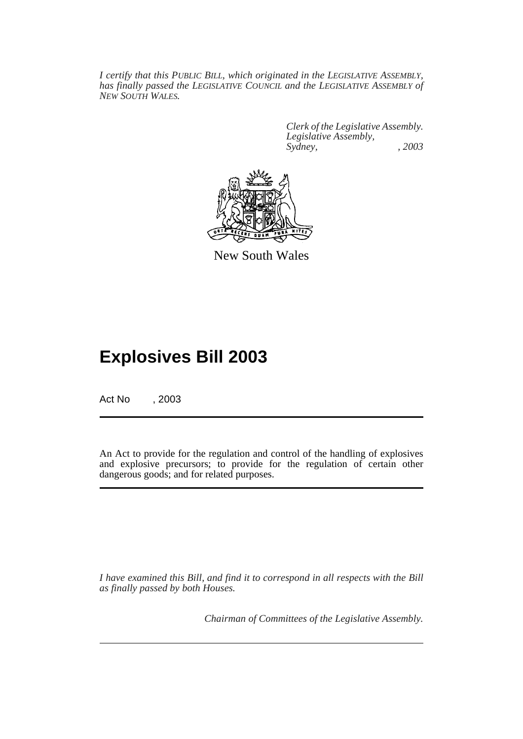*I certify that this PUBLIC BILL, which originated in the LEGISLATIVE ASSEMBLY, has finally passed the LEGISLATIVE COUNCIL and the LEGISLATIVE ASSEMBLY of NEW SOUTH WALES.*

> *Clerk of the Legislative Assembly. Legislative Assembly, Sydney, , 2003*



New South Wales

## **Explosives Bill 2003**

Act No , 2003

An Act to provide for the regulation and control of the handling of explosives and explosive precursors; to provide for the regulation of certain other dangerous goods; and for related purposes.

*I have examined this Bill, and find it to correspond in all respects with the Bill as finally passed by both Houses.*

*Chairman of Committees of the Legislative Assembly.*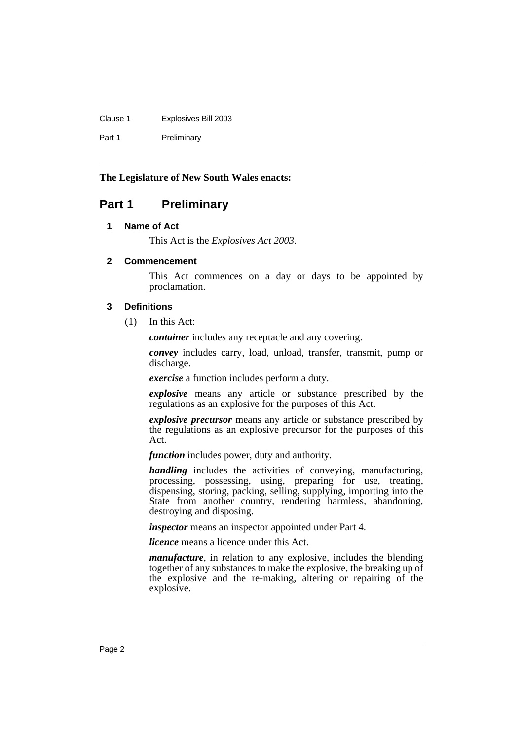Clause 1 Explosives Bill 2003 Part 1 Preliminary

**The Legislature of New South Wales enacts:**

### <span id="page-3-1"></span><span id="page-3-0"></span>**Part 1 Preliminary**

### **1 Name of Act**

This Act is the *Explosives Act 2003*.

### <span id="page-3-2"></span>**2 Commencement**

This Act commences on a day or days to be appointed by proclamation.

### <span id="page-3-3"></span>**3 Definitions**

(1) In this Act:

*container* includes any receptacle and any covering.

*convey* includes carry, load, unload, transfer, transmit, pump or discharge.

*exercise* a function includes perform a duty.

*explosive* means any article or substance prescribed by the regulations as an explosive for the purposes of this Act.

*explosive precursor* means any article or substance prescribed by the regulations as an explosive precursor for the purposes of this Act.

*function* includes power, duty and authority.

*handling* includes the activities of conveying, manufacturing, processing, possessing, using, preparing for use, treating, dispensing, storing, packing, selling, supplying, importing into the State from another country, rendering harmless, abandoning, destroying and disposing.

*inspector* means an inspector appointed under Part 4.

*licence* means a licence under this Act.

*manufacture*, in relation to any explosive, includes the blending together of any substances to make the explosive, the breaking up of the explosive and the re-making, altering or repairing of the explosive.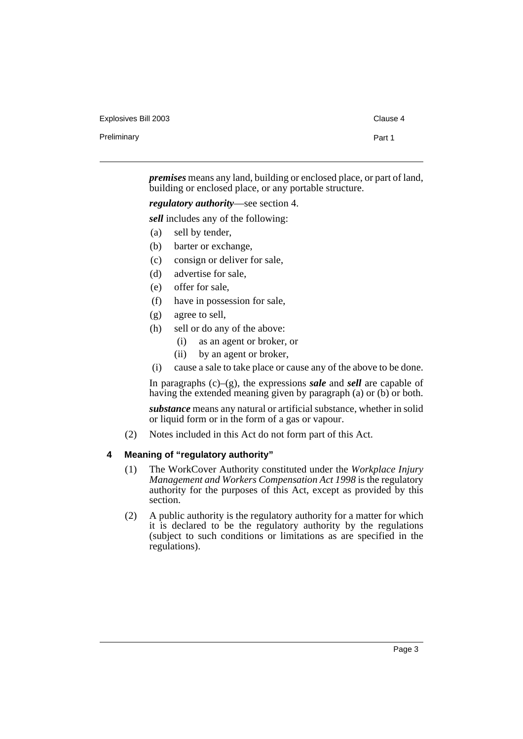Preliminary **Preliminary** Part 1

*premises* means any land, building or enclosed place, or part of land, building or enclosed place, or any portable structure.

*regulatory authority*—see section 4.

*sell* includes any of the following:

- (a) sell by tender,
- (b) barter or exchange,
- (c) consign or deliver for sale,
- (d) advertise for sale,
- (e) offer for sale,
- (f) have in possession for sale,
- (g) agree to sell,
- (h) sell or do any of the above:
	- (i) as an agent or broker, or
	- (ii) by an agent or broker,
- (i) cause a sale to take place or cause any of the above to be done.

In paragraphs (c)–(g), the expressions *sale* and *sell* are capable of having the extended meaning given by paragraph (a) or (b) or both.

*substance* means any natural or artificial substance, whether in solid or liquid form or in the form of a gas or vapour.

(2) Notes included in this Act do not form part of this Act.

### <span id="page-4-0"></span>**4 Meaning of "regulatory authority"**

- (1) The WorkCover Authority constituted under the *Workplace Injury Management and Workers Compensation Act 1998* is the regulatory authority for the purposes of this Act, except as provided by this section.
- (2) A public authority is the regulatory authority for a matter for which it is declared to be the regulatory authority by the regulations (subject to such conditions or limitations as are specified in the regulations).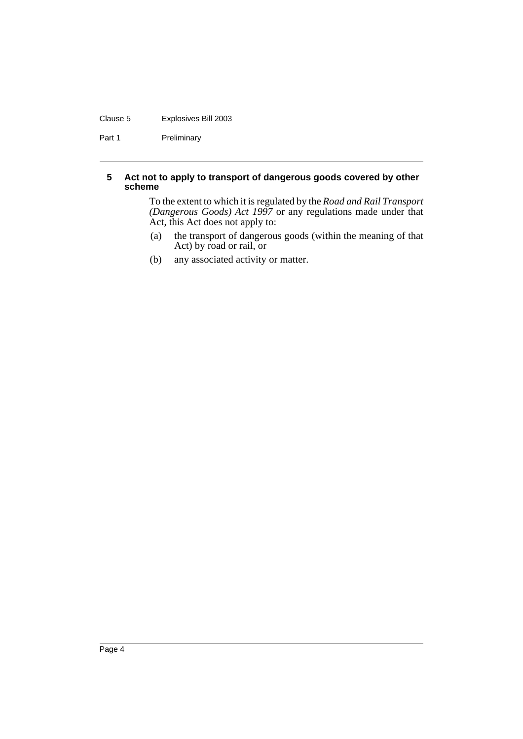### Clause 5 Explosives Bill 2003

Part 1 Preliminary

### <span id="page-5-0"></span>**5 Act not to apply to transport of dangerous goods covered by other scheme**

To the extent to which it is regulated by the *Road and Rail Transport (Dangerous Goods) Act 1997* or any regulations made under that Act, this Act does not apply to:

- (a) the transport of dangerous goods (within the meaning of that Act) by road or rail, or
- (b) any associated activity or matter.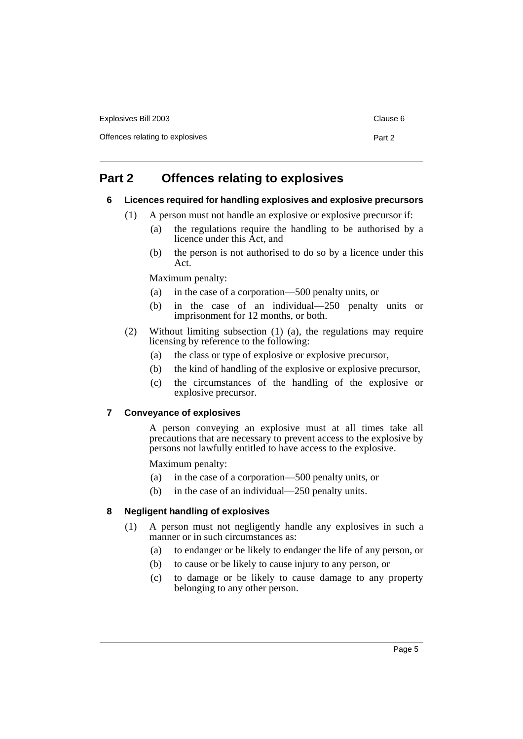| Explosives Bill 2003            | Clause 6 |
|---------------------------------|----------|
| Offences relating to explosives | Part 2   |
|                                 |          |

### <span id="page-6-1"></span><span id="page-6-0"></span>**Part 2 Offences relating to explosives**

### **6 Licences required for handling explosives and explosive precursors**

- (1) A person must not handle an explosive or explosive precursor if:
	- (a) the regulations require the handling to be authorised by a licence under this Act, and
	- (b) the person is not authorised to do so by a licence under this Act.

Maximum penalty:

- (a) in the case of a corporation—500 penalty units, or
- (b) in the case of an individual—250 penalty units or imprisonment for 12 months, or both.
- (2) Without limiting subsection (1) (a), the regulations may require licensing by reference to the following:
	- (a) the class or type of explosive or explosive precursor,
	- (b) the kind of handling of the explosive or explosive precursor,
	- (c) the circumstances of the handling of the explosive or explosive precursor.

### <span id="page-6-2"></span>**7 Conveyance of explosives**

A person conveying an explosive must at all times take all precautions that are necessary to prevent access to the explosive by persons not lawfully entitled to have access to the explosive.

Maximum penalty:

- (a) in the case of a corporation—500 penalty units, or
- (b) in the case of an individual—250 penalty units.

### <span id="page-6-3"></span>**8 Negligent handling of explosives**

- (1) A person must not negligently handle any explosives in such a manner or in such circumstances as:
	- (a) to endanger or be likely to endanger the life of any person, or
	- (b) to cause or be likely to cause injury to any person, or
	- (c) to damage or be likely to cause damage to any property belonging to any other person.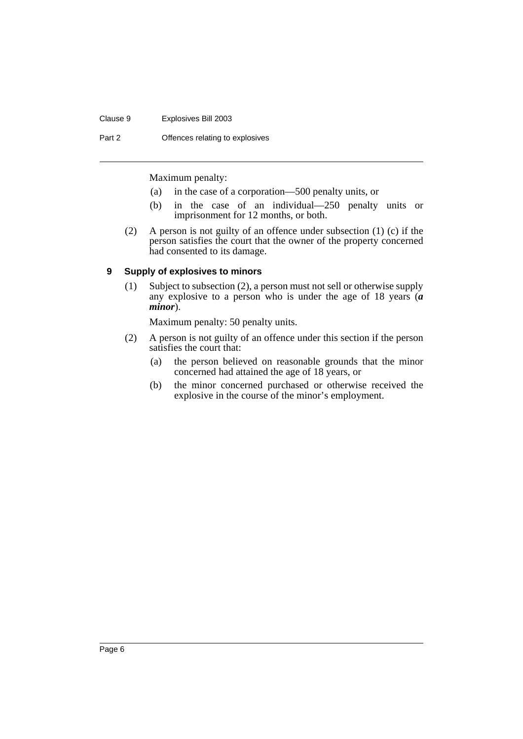#### Clause 9 Explosives Bill 2003

Part 2 **Offences relating to explosives** 

Maximum penalty:

- (a) in the case of a corporation—500 penalty units, or
- (b) in the case of an individual—250 penalty units or imprisonment for 12 months, or both.
- (2) A person is not guilty of an offence under subsection (1) (c) if the person satisfies the court that the owner of the property concerned had consented to its damage.

### <span id="page-7-0"></span>**9 Supply of explosives to minors**

(1) Subject to subsection (2), a person must not sell or otherwise supply any explosive to a person who is under the age of 18 years (*a minor*).

Maximum penalty: 50 penalty units.

- (2) A person is not guilty of an offence under this section if the person satisfies the court that:
	- (a) the person believed on reasonable grounds that the minor concerned had attained the age of 18 years, or
	- (b) the minor concerned purchased or otherwise received the explosive in the course of the minor's employment.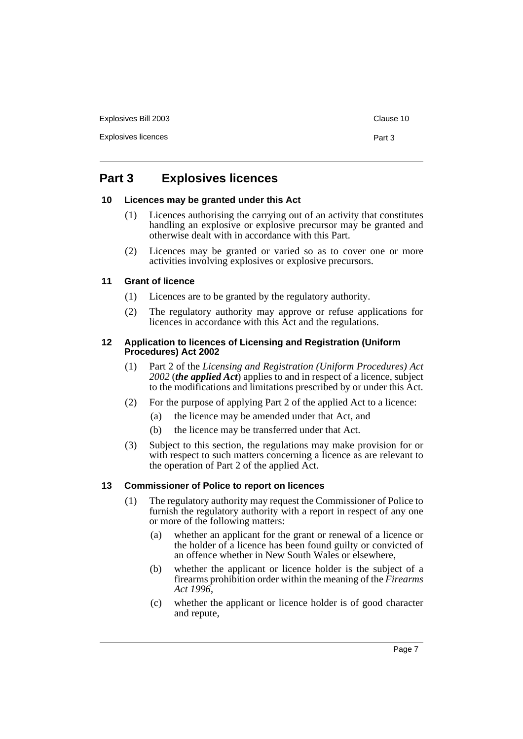Explosives licences **Part 3** 

### <span id="page-8-0"></span>**Part 3 Explosives licences**

### <span id="page-8-1"></span>**10 Licences may be granted under this Act**

- (1) Licences authorising the carrying out of an activity that constitutes handling an explosive or explosive precursor may be granted and otherwise dealt with in accordance with this Part.
- (2) Licences may be granted or varied so as to cover one or more activities involving explosives or explosive precursors.

### <span id="page-8-2"></span>**11 Grant of licence**

- (1) Licences are to be granted by the regulatory authority.
- (2) The regulatory authority may approve or refuse applications for licences in accordance with this Act and the regulations.

### <span id="page-8-3"></span>**12 Application to licences of Licensing and Registration (Uniform Procedures) Act 2002**

- (1) Part 2 of the *Licensing and Registration (Uniform Procedures) Act 2002* (*the applied Act*) applies to and in respect of a licence, subject to the modifications and limitations prescribed by or under this Act.
- (2) For the purpose of applying Part 2 of the applied Act to a licence:
	- (a) the licence may be amended under that Act, and
	- (b) the licence may be transferred under that Act.
- (3) Subject to this section, the regulations may make provision for or with respect to such matters concerning a licence as are relevant to the operation of Part 2 of the applied Act.

### <span id="page-8-4"></span>**13 Commissioner of Police to report on licences**

- (1) The regulatory authority may request the Commissioner of Police to furnish the regulatory authority with a report in respect of any one or more of the following matters:
	- (a) whether an applicant for the grant or renewal of a licence or the holder of a licence has been found guilty or convicted of an offence whether in New South Wales or elsewhere,
	- (b) whether the applicant or licence holder is the subject of a firearms prohibition order within the meaning of the *Firearms Act 1996*,
	- (c) whether the applicant or licence holder is of good character and repute,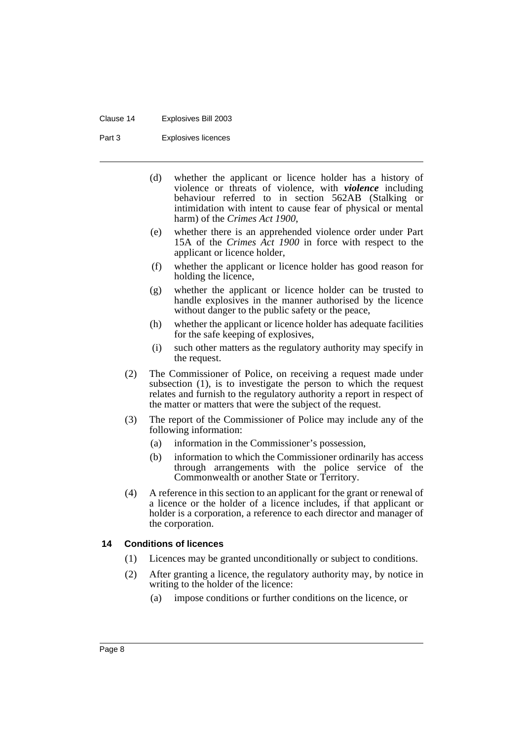#### Clause 14 Explosives Bill 2003

Part 3 Explosives licences

- (d) whether the applicant or licence holder has a history of violence or threats of violence, with *violence* including behaviour referred to in section 562AB (Stalking or intimidation with intent to cause fear of physical or mental harm) of the *Crimes Act 1900*,
- (e) whether there is an apprehended violence order under Part 15A of the *Crimes Act 1900* in force with respect to the applicant or licence holder,
- (f) whether the applicant or licence holder has good reason for holding the licence,
- (g) whether the applicant or licence holder can be trusted to handle explosives in the manner authorised by the licence without danger to the public safety or the peace,
- (h) whether the applicant or licence holder has adequate facilities for the safe keeping of explosives,
- (i) such other matters as the regulatory authority may specify in the request.
- (2) The Commissioner of Police, on receiving a request made under subsection (1), is to investigate the person to which the request relates and furnish to the regulatory authority a report in respect of the matter or matters that were the subject of the request.
- (3) The report of the Commissioner of Police may include any of the following information:
	- (a) information in the Commissioner's possession,
	- (b) information to which the Commissioner ordinarily has access through arrangements with the police service of the Commonwealth or another State or Territory.
- (4) A reference in this section to an applicant for the grant or renewal of a licence or the holder of a licence includes, if that applicant or holder is a corporation, a reference to each director and manager of the corporation.

### <span id="page-9-0"></span>**14 Conditions of licences**

- (1) Licences may be granted unconditionally or subject to conditions.
- (2) After granting a licence, the regulatory authority may, by notice in writing to the holder of the licence:
	- (a) impose conditions or further conditions on the licence, or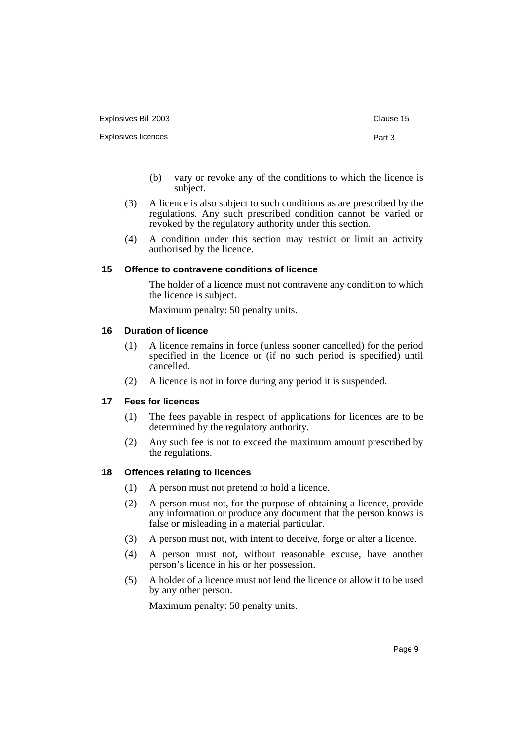| Explosives Bill 2003 | Clause 15 |
|----------------------|-----------|
| Explosives licences  | Part 3    |

- (b) vary or revoke any of the conditions to which the licence is subject.
- (3) A licence is also subject to such conditions as are prescribed by the regulations. Any such prescribed condition cannot be varied or revoked by the regulatory authority under this section.
- (4) A condition under this section may restrict or limit an activity authorised by the licence.

### <span id="page-10-0"></span>**15 Offence to contravene conditions of licence**

The holder of a licence must not contravene any condition to which the licence is subject.

Maximum penalty: 50 penalty units.

### <span id="page-10-1"></span>**16 Duration of licence**

- (1) A licence remains in force (unless sooner cancelled) for the period specified in the licence or (if no such period is specified) until cancelled.
- (2) A licence is not in force during any period it is suspended.

### <span id="page-10-2"></span>**17 Fees for licences**

- (1) The fees payable in respect of applications for licences are to be determined by the regulatory authority.
- (2) Any such fee is not to exceed the maximum amount prescribed by the regulations.

### <span id="page-10-3"></span>**18 Offences relating to licences**

- (1) A person must not pretend to hold a licence.
- (2) A person must not, for the purpose of obtaining a licence, provide any information or produce any document that the person knows is false or misleading in a material particular.
- (3) A person must not, with intent to deceive, forge or alter a licence.
- (4) A person must not, without reasonable excuse, have another person's licence in his or her possession.
- (5) A holder of a licence must not lend the licence or allow it to be used by any other person.

Maximum penalty: 50 penalty units.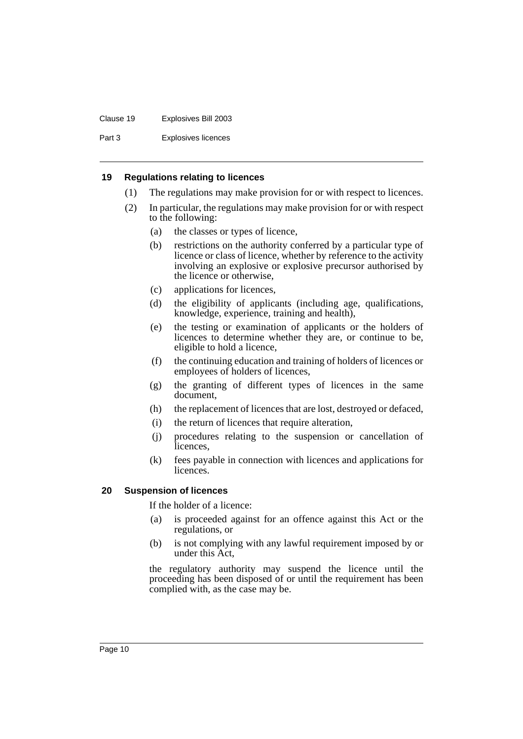### Clause 19 Explosives Bill 2003

Part 3 Explosives licences

### <span id="page-11-0"></span>**19 Regulations relating to licences**

- (1) The regulations may make provision for or with respect to licences.
- (2) In particular, the regulations may make provision for or with respect to the following:
	- (a) the classes or types of licence,
	- (b) restrictions on the authority conferred by a particular type of licence or class of licence, whether by reference to the activity involving an explosive or explosive precursor authorised by the licence or otherwise,
	- (c) applications for licences,
	- (d) the eligibility of applicants (including age, qualifications, knowledge, experience, training and health),
	- (e) the testing or examination of applicants or the holders of licences to determine whether they are, or continue to be, eligible to hold a licence,
	- (f) the continuing education and training of holders of licences or employees of holders of licences,
	- (g) the granting of different types of licences in the same document,
	- (h) the replacement of licences that are lost, destroyed or defaced,
	- (i) the return of licences that require alteration,
	- (j) procedures relating to the suspension or cancellation of licences,
	- (k) fees payable in connection with licences and applications for licences.

### <span id="page-11-1"></span>**20 Suspension of licences**

If the holder of a licence:

- (a) is proceeded against for an offence against this Act or the regulations, or
- (b) is not complying with any lawful requirement imposed by or under this Act,

the regulatory authority may suspend the licence until the proceeding has been disposed of or until the requirement has been complied with, as the case may be.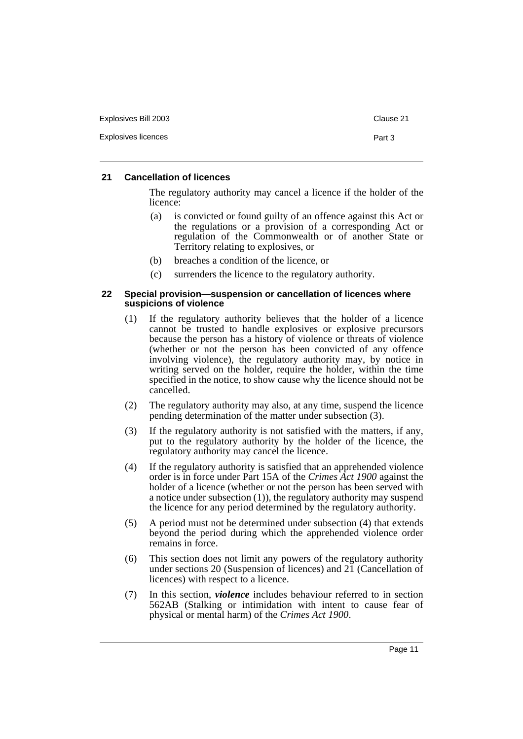| Explosives Bill 2003 | Clause 21 |
|----------------------|-----------|
| Explosives licences  | Part 3    |

### <span id="page-12-0"></span>**21 Cancellation of licences**

The regulatory authority may cancel a licence if the holder of the licence:

- (a) is convicted or found guilty of an offence against this Act or the regulations or a provision of a corresponding Act or regulation of the Commonwealth or of another State or Territory relating to explosives, or
- (b) breaches a condition of the licence, or
- (c) surrenders the licence to the regulatory authority.

### <span id="page-12-1"></span>**22 Special provision—suspension or cancellation of licences where suspicions of violence**

- (1) If the regulatory authority believes that the holder of a licence cannot be trusted to handle explosives or explosive precursors because the person has a history of violence or threats of violence (whether or not the person has been convicted of any offence involving violence), the regulatory authority may, by notice in writing served on the holder, require the holder, within the time specified in the notice, to show cause why the licence should not be cancelled.
- (2) The regulatory authority may also, at any time, suspend the licence pending determination of the matter under subsection (3).
- (3) If the regulatory authority is not satisfied with the matters, if any, put to the regulatory authority by the holder of the licence, the regulatory authority may cancel the licence.
- (4) If the regulatory authority is satisfied that an apprehended violence order is in force under Part 15A of the *Crimes Act 1900* against the holder of a licence (whether or not the person has been served with a notice under subsection (1)), the regulatory authority may suspend the licence for any period determined by the regulatory authority.
- (5) A period must not be determined under subsection (4) that extends beyond the period during which the apprehended violence order remains in force.
- (6) This section does not limit any powers of the regulatory authority under sections 20 (Suspension of licences) and 21 (Cancellation of licences) with respect to a licence.
- (7) In this section, *violence* includes behaviour referred to in section 562AB (Stalking or intimidation with intent to cause fear of physical or mental harm) of the *Crimes Act 1900*.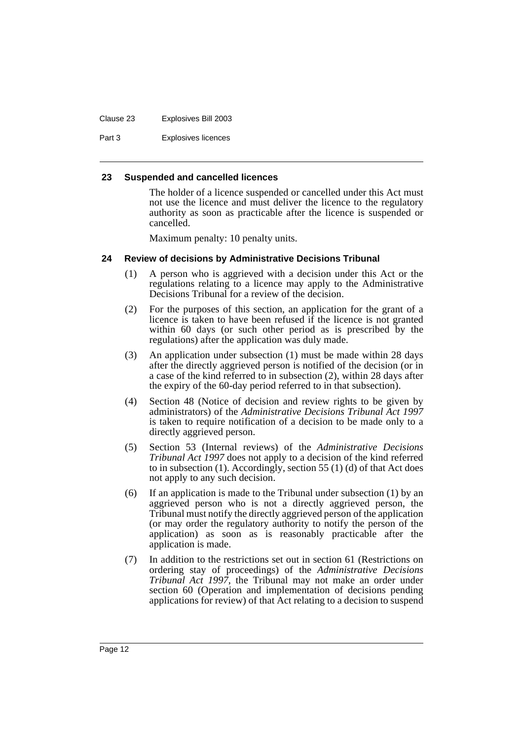### Clause 23 Explosives Bill 2003

Part 3 Explosives licences

### <span id="page-13-0"></span>**23 Suspended and cancelled licences**

The holder of a licence suspended or cancelled under this Act must not use the licence and must deliver the licence to the regulatory authority as soon as practicable after the licence is suspended or cancelled.

Maximum penalty: 10 penalty units.

### <span id="page-13-1"></span>**24 Review of decisions by Administrative Decisions Tribunal**

- (1) A person who is aggrieved with a decision under this Act or the regulations relating to a licence may apply to the Administrative Decisions Tribunal for a review of the decision.
- (2) For the purposes of this section, an application for the grant of a licence is taken to have been refused if the licence is not granted within 60 days (or such other period as is prescribed by the regulations) after the application was duly made.
- (3) An application under subsection (1) must be made within 28 days after the directly aggrieved person is notified of the decision (or in a case of the kind referred to in subsection (2), within 28 days after the expiry of the 60-day period referred to in that subsection).
- (4) Section 48 (Notice of decision and review rights to be given by administrators) of the *Administrative Decisions Tribunal Act 1997* is taken to require notification of a decision to be made only to a directly aggrieved person.
- (5) Section 53 (Internal reviews) of the *Administrative Decisions Tribunal Act 1997* does not apply to a decision of the kind referred to in subsection (1). Accordingly, section 55 (1) (d) of that Act does not apply to any such decision.
- (6) If an application is made to the Tribunal under subsection (1) by an aggrieved person who is not a directly aggrieved person, the Tribunal must notify the directly aggrieved person of the application (or may order the regulatory authority to notify the person of the application) as soon as is reasonably practicable after the application is made.
- (7) In addition to the restrictions set out in section 61 (Restrictions on ordering stay of proceedings) of the *Administrative Decisions Tribunal Act 1997*, the Tribunal may not make an order under section 60 (Operation and implementation of decisions pending applications for review) of that Act relating to a decision to suspend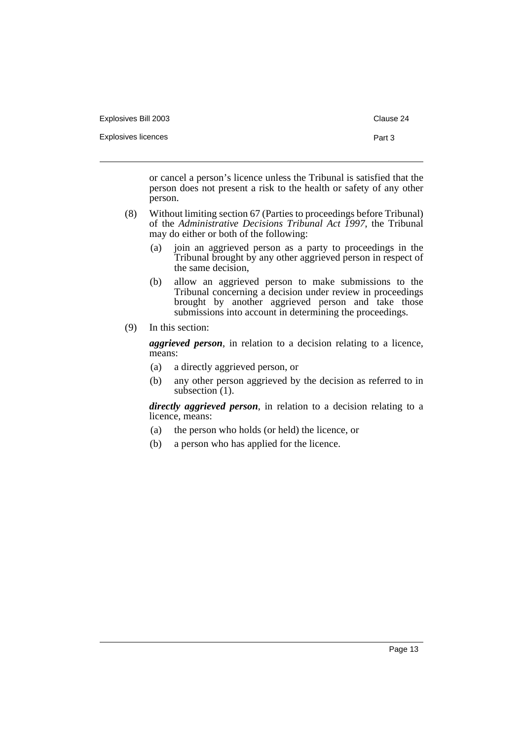| Explosives Bill 2003 | Clause 24 |
|----------------------|-----------|
| Explosives licences  | Part 3    |
|                      |           |

or cancel a person's licence unless the Tribunal is satisfied that the person does not present a risk to the health or safety of any other person.

- (8) Without limiting section 67 (Parties to proceedings before Tribunal) of the *Administrative Decisions Tribunal Act 1997*, the Tribunal may do either or both of the following:
	- (a) join an aggrieved person as a party to proceedings in the Tribunal brought by any other aggrieved person in respect of the same decision,
	- (b) allow an aggrieved person to make submissions to the Tribunal concerning a decision under review in proceedings brought by another aggrieved person and take those submissions into account in determining the proceedings.
- (9) In this section:

*aggrieved person*, in relation to a decision relating to a licence, means:

- (a) a directly aggrieved person, or
- (b) any other person aggrieved by the decision as referred to in subsection  $(1)$ .

*directly aggrieved person*, in relation to a decision relating to a licence, means:

- (a) the person who holds (or held) the licence, or
- (b) a person who has applied for the licence.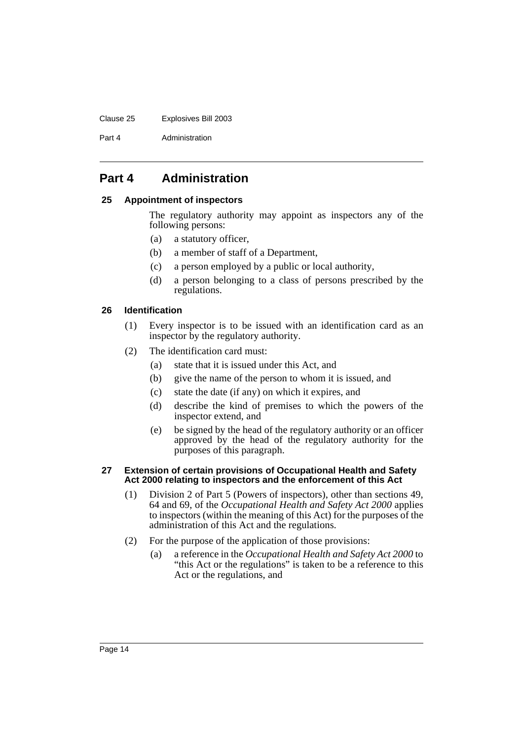### Clause 25 Explosives Bill 2003

Part 4 **Administration** 

### <span id="page-15-0"></span>**Part 4 Administration**

### <span id="page-15-1"></span>**25 Appointment of inspectors**

The regulatory authority may appoint as inspectors any of the following persons:

- (a) a statutory officer,
- (b) a member of staff of a Department,
- (c) a person employed by a public or local authority,
- (d) a person belonging to a class of persons prescribed by the regulations.

### <span id="page-15-2"></span>**26 Identification**

- (1) Every inspector is to be issued with an identification card as an inspector by the regulatory authority.
- (2) The identification card must:
	- (a) state that it is issued under this Act, and
	- (b) give the name of the person to whom it is issued, and
	- (c) state the date (if any) on which it expires, and
	- (d) describe the kind of premises to which the powers of the inspector extend, and
	- (e) be signed by the head of the regulatory authority or an officer approved by the head of the regulatory authority for the purposes of this paragraph.

### <span id="page-15-3"></span>**27 Extension of certain provisions of Occupational Health and Safety Act 2000 relating to inspectors and the enforcement of this Act**

- (1) Division 2 of Part 5 (Powers of inspectors), other than sections 49, 64 and 69, of the *Occupational Health and Safety Act 2000* applies to inspectors (within the meaning of this Act) for the purposes of the administration of this Act and the regulations.
- (2) For the purpose of the application of those provisions:
	- (a) a reference in the *Occupational Health and Safety Act 2000* to "this Act or the regulations" is taken to be a reference to this Act or the regulations, and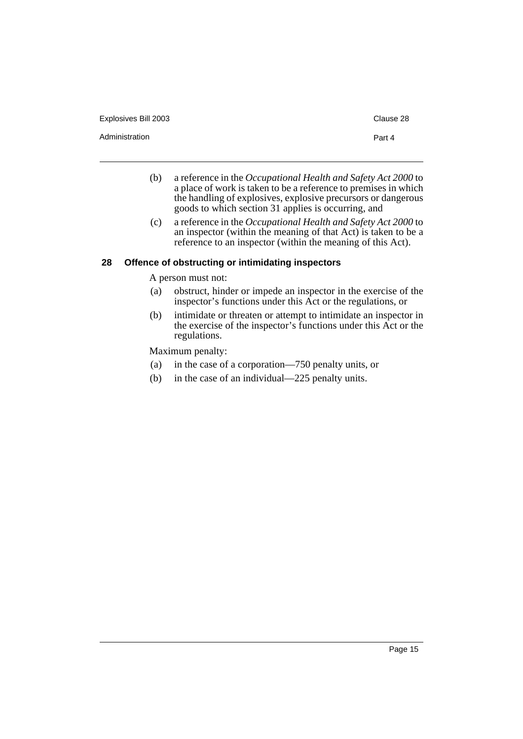Administration **Part 4** 

- 
- (b) a reference in the *Occupational Health and Safety Act 2000* to a place of work is taken to be a reference to premises in which the handling of explosives, explosive precursors or dangerous goods to which section 31 applies is occurring, and
- (c) a reference in the *Occupational Health and Safety Act 2000* to an inspector (within the meaning of that Act) is taken to be a reference to an inspector (within the meaning of this Act).

### <span id="page-16-0"></span>**28 Offence of obstructing or intimidating inspectors**

A person must not:

- (a) obstruct, hinder or impede an inspector in the exercise of the inspector's functions under this Act or the regulations, or
- (b) intimidate or threaten or attempt to intimidate an inspector in the exercise of the inspector's functions under this Act or the regulations.

Maximum penalty:

- (a) in the case of a corporation—750 penalty units, or
- (b) in the case of an individual—225 penalty units.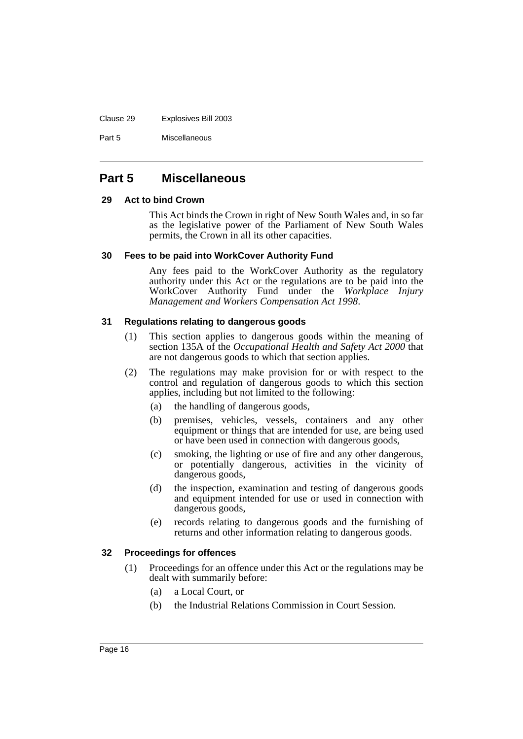#### Clause 29 Explosives Bill 2003

Part 5 Miscellaneous

### <span id="page-17-0"></span>**Part 5 Miscellaneous**

### <span id="page-17-1"></span>**29 Act to bind Crown**

This Act binds the Crown in right of New South Wales and, in so far as the legislative power of the Parliament of New South Wales permits, the Crown in all its other capacities.

### <span id="page-17-2"></span>**30 Fees to be paid into WorkCover Authority Fund**

Any fees paid to the WorkCover Authority as the regulatory authority under this Act or the regulations are to be paid into the WorkCover Authority Fund under the *Workplace Injury Management and Workers Compensation Act 1998*.

### <span id="page-17-3"></span>**31 Regulations relating to dangerous goods**

- (1) This section applies to dangerous goods within the meaning of section 135A of the *Occupational Health and Safety Act 2000* that are not dangerous goods to which that section applies.
- (2) The regulations may make provision for or with respect to the control and regulation of dangerous goods to which this section applies, including but not limited to the following:
	- (a) the handling of dangerous goods,
	- (b) premises, vehicles, vessels, containers and any other equipment or things that are intended for use, are being used or have been used in connection with dangerous goods,
	- (c) smoking, the lighting or use of fire and any other dangerous, or potentially dangerous, activities in the vicinity of dangerous goods,
	- (d) the inspection, examination and testing of dangerous goods and equipment intended for use or used in connection with dangerous goods,
	- (e) records relating to dangerous goods and the furnishing of returns and other information relating to dangerous goods.

### <span id="page-17-4"></span>**32 Proceedings for offences**

- (1) Proceedings for an offence under this Act or the regulations may be dealt with summarily before:
	- (a) a Local Court, or
	- (b) the Industrial Relations Commission in Court Session.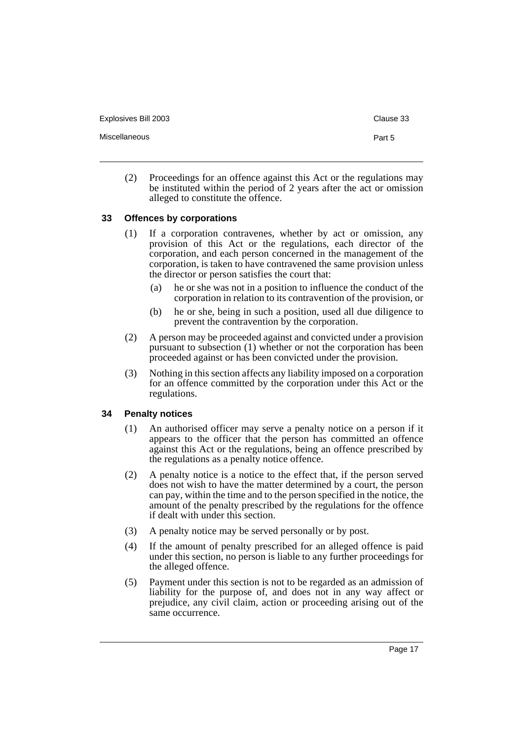Miscellaneous **Part 5** 

(2) Proceedings for an offence against this Act or the regulations may be instituted within the period of 2 years after the act or omission alleged to constitute the offence.

### <span id="page-18-0"></span>**33 Offences by corporations**

- (1) If a corporation contravenes, whether by act or omission, any provision of this Act or the regulations, each director of the corporation, and each person concerned in the management of the corporation, is taken to have contravened the same provision unless the director or person satisfies the court that:
	- (a) he or she was not in a position to influence the conduct of the corporation in relation to its contravention of the provision, or
	- (b) he or she, being in such a position, used all due diligence to prevent the contravention by the corporation.
- (2) A person may be proceeded against and convicted under a provision pursuant to subsection (1) whether or not the corporation has been proceeded against or has been convicted under the provision.
- (3) Nothing in this section affects any liability imposed on a corporation for an offence committed by the corporation under this Act or the regulations.

### <span id="page-18-1"></span>**34 Penalty notices**

- (1) An authorised officer may serve a penalty notice on a person if it appears to the officer that the person has committed an offence against this Act or the regulations, being an offence prescribed by the regulations as a penalty notice offence.
- (2) A penalty notice is a notice to the effect that, if the person served does not wish to have the matter determined by a court, the person can pay, within the time and to the person specified in the notice, the amount of the penalty prescribed by the regulations for the offence if dealt with under this section.
- (3) A penalty notice may be served personally or by post.
- (4) If the amount of penalty prescribed for an alleged offence is paid under this section, no person is liable to any further proceedings for the alleged offence.
- (5) Payment under this section is not to be regarded as an admission of liability for the purpose of, and does not in any way affect or prejudice, any civil claim, action or proceeding arising out of the same occurrence.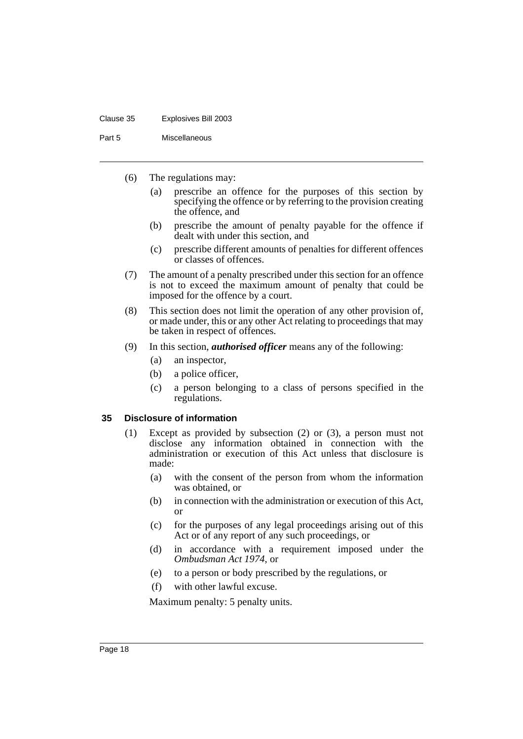#### Clause 35 Explosives Bill 2003

Part 5 Miscellaneous

- (6) The regulations may:
	- (a) prescribe an offence for the purposes of this section by specifying the offence or by referring to the provision creating the offence, and
	- (b) prescribe the amount of penalty payable for the offence if dealt with under this section, and
	- (c) prescribe different amounts of penalties for different offences or classes of offences.
- (7) The amount of a penalty prescribed under this section for an offence is not to exceed the maximum amount of penalty that could be imposed for the offence by a court.
- (8) This section does not limit the operation of any other provision of, or made under, this or any other Act relating to proceedings that may be taken in respect of offences.
- (9) In this section, *authorised officer* means any of the following:
	- (a) an inspector,
	- (b) a police officer,
	- (c) a person belonging to a class of persons specified in the regulations.

### <span id="page-19-0"></span>**35 Disclosure of information**

- (1) Except as provided by subsection (2) or (3), a person must not disclose any information obtained in connection with the administration or execution of this Act unless that disclosure is made:
	- (a) with the consent of the person from whom the information was obtained, or
	- (b) in connection with the administration or execution of this Act, or
	- (c) for the purposes of any legal proceedings arising out of this Act or of any report of any such proceedings, or
	- (d) in accordance with a requirement imposed under the *Ombudsman Act 1974*, or
	- (e) to a person or body prescribed by the regulations, or
	- (f) with other lawful excuse.

Maximum penalty: 5 penalty units.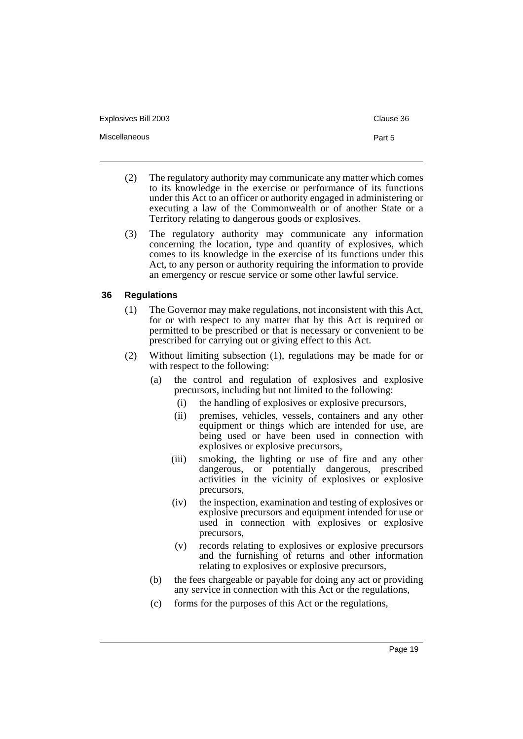Miscellaneous **Part 5** 

- (2) The regulatory authority may communicate any matter which comes to its knowledge in the exercise or performance of its functions under this Act to an officer or authority engaged in administering or executing a law of the Commonwealth or of another State or a Territory relating to dangerous goods or explosives.
- (3) The regulatory authority may communicate any information concerning the location, type and quantity of explosives, which comes to its knowledge in the exercise of its functions under this Act, to any person or authority requiring the information to provide an emergency or rescue service or some other lawful service.

### <span id="page-20-0"></span>**36 Regulations**

- (1) The Governor may make regulations, not inconsistent with this Act, for or with respect to any matter that by this Act is required or permitted to be prescribed or that is necessary or convenient to be prescribed for carrying out or giving effect to this Act.
- (2) Without limiting subsection (1), regulations may be made for or with respect to the following:
	- (a) the control and regulation of explosives and explosive precursors, including but not limited to the following:
		- (i) the handling of explosives or explosive precursors,
		- (ii) premises, vehicles, vessels, containers and any other equipment or things which are intended for use, are being used or have been used in connection with explosives or explosive precursors,
		- (iii) smoking, the lighting or use of fire and any other dangerous, or potentially dangerous, prescribed activities in the vicinity of explosives or explosive precursors,
		- (iv) the inspection, examination and testing of explosives or explosive precursors and equipment intended for use or used in connection with explosives or explosive precursors,
		- (v) records relating to explosives or explosive precursors and the furnishing of returns and other information relating to explosives or explosive precursors,
	- (b) the fees chargeable or payable for doing any act or providing any service in connection with this Act or the regulations,
	- (c) forms for the purposes of this Act or the regulations,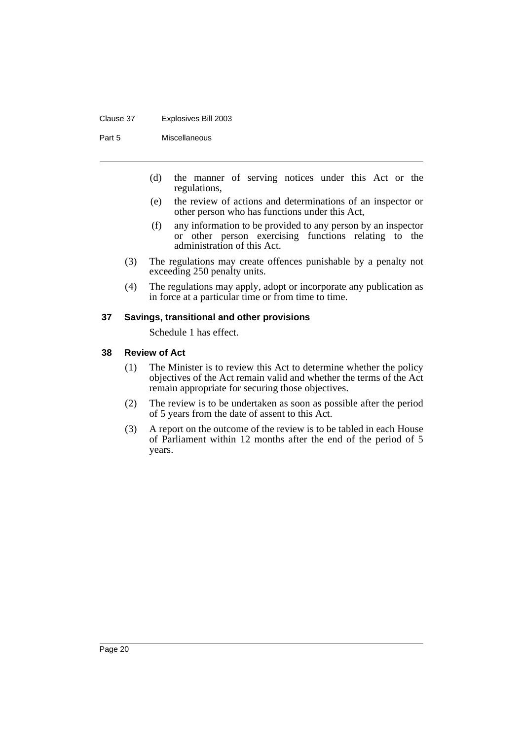#### Clause 37 Explosives Bill 2003

Part 5 Miscellaneous

- (d) the manner of serving notices under this Act or the regulations,
- (e) the review of actions and determinations of an inspector or other person who has functions under this Act,
- (f) any information to be provided to any person by an inspector or other person exercising functions relating to the administration of this Act.
- (3) The regulations may create offences punishable by a penalty not exceeding 250 penalty units.
- (4) The regulations may apply, adopt or incorporate any publication as in force at a particular time or from time to time.

### <span id="page-21-0"></span>**37 Savings, transitional and other provisions**

Schedule 1 has effect.

### <span id="page-21-1"></span>**38 Review of Act**

- (1) The Minister is to review this Act to determine whether the policy objectives of the Act remain valid and whether the terms of the Act remain appropriate for securing those objectives.
- (2) The review is to be undertaken as soon as possible after the period of 5 years from the date of assent to this Act.
- (3) A report on the outcome of the review is to be tabled in each House of Parliament within 12 months after the end of the period of 5 years.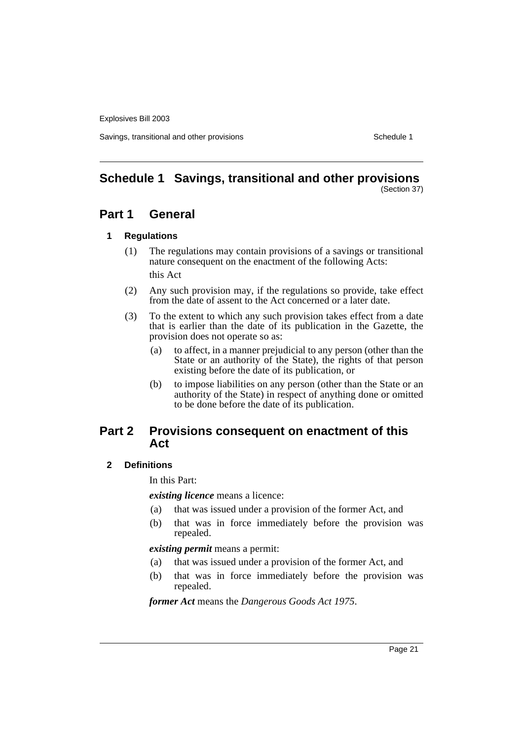Explosives Bill 2003

Savings, transitional and other provisions Schedule 1 and  $\sigma$  Schedule 1

## <span id="page-22-0"></span>**Schedule 1 Savings, transitional and other provisions**

### (Section 37)

### **Part 1 General**

### **1 Regulations**

- (1) The regulations may contain provisions of a savings or transitional nature consequent on the enactment of the following Acts: this Act
- (2) Any such provision may, if the regulations so provide, take effect from the date of assent to the Act concerned or a later date.
- (3) To the extent to which any such provision takes effect from a date that is earlier than the date of its publication in the Gazette, the provision does not operate so as:
	- (a) to affect, in a manner prejudicial to any person (other than the State or an authority of the State), the rights of that person existing before the date of its publication, or
	- (b) to impose liabilities on any person (other than the State or an authority of the State) in respect of anything done or omitted to be done before the date of its publication.

### **Part 2 Provisions consequent on enactment of this Act**

### **2 Definitions**

In this Part:

*existing licence* means a licence:

- (a) that was issued under a provision of the former Act, and
- (b) that was in force immediately before the provision was repealed.

### *existing permit* means a permit:

- (a) that was issued under a provision of the former Act, and
- (b) that was in force immediately before the provision was repealed.

*former Act* means the *Dangerous Goods Act 1975*.